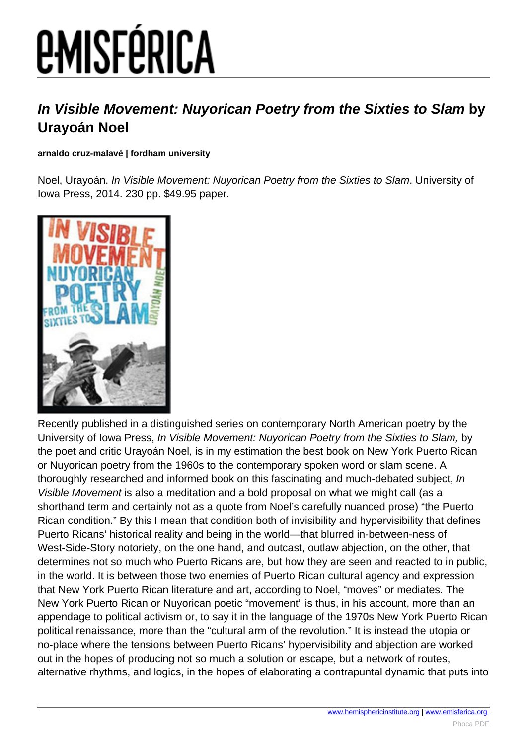# *EMISFÉRICA*

### **In Visible Movement: Nuyorican Poetry from the Sixties to Slam by Urayoán Noel**

#### **arnaldo cruz-malavé | fordham university**

Noel, Urayoán. In Visible Movement: Nuyorican Poetry from the Sixties to Slam. University of Iowa Press, 2014. 230 pp. \$49.95 paper.



Recently published in a distinguished series on contemporary North American poetry by the University of Iowa Press, In Visible Movement: Nuyorican Poetry from the Sixties to Slam, by the poet and critic Urayoán Noel, is in my estimation the best book on New York Puerto Rican or Nuyorican poetry from the 1960s to the contemporary spoken word or slam scene. A thoroughly researched and informed book on this fascinating and much-debated subject, In Visible Movement is also a meditation and a bold proposal on what we might call (as a shorthand term and certainly not as a quote from Noel's carefully nuanced prose) "the Puerto Rican condition." By this I mean that condition both of invisibility and hypervisibility that defines Puerto Ricans' historical reality and being in the world—that blurred in-between-ness of West-Side-Story notoriety, on the one hand, and outcast, outlaw abjection, on the other, that determines not so much who Puerto Ricans are, but how they are seen and reacted to in public, in the world. It is between those two enemies of Puerto Rican cultural agency and expression that New York Puerto Rican literature and art, according to Noel, "moves" or mediates. The New York Puerto Rican or Nuyorican poetic "movement" is thus, in his account, more than an appendage to political activism or, to say it in the language of the 1970s New York Puerto Rican political renaissance, more than the "cultural arm of the revolution." It is instead the utopia or no-place where the tensions between Puerto Ricans' hypervisibility and abjection are worked out in the hopes of producing not so much a solution or escape, but a network of routes, alternative rhythms, and logics, in the hopes of elaborating a contrapuntal dynamic that puts into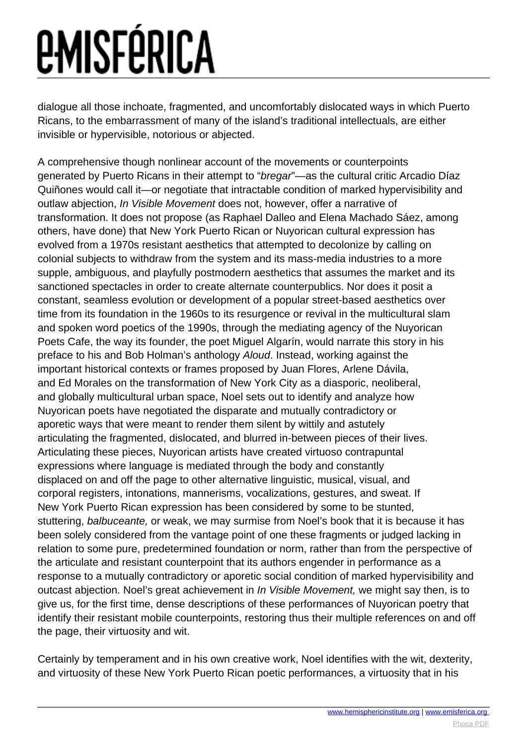## *<u>EMISFÉRICA</u>*

dialogue all those inchoate, fragmented, and uncomfortably dislocated ways in which Puerto Ricans, to the embarrassment of many of the island's traditional intellectuals, are either invisible or hypervisible, notorious or abjected.

A comprehensive though nonlinear account of the movements or counterpoints generated by Puerto Ricans in their attempt to "bregar"—as the cultural critic Arcadio Díaz Quiñones would call it—or negotiate that intractable condition of marked hypervisibility and outlaw abjection, In Visible Movement does not, however, offer a narrative of transformation. It does not propose (as Raphael Dalleo and Elena Machado Sáez, among others, have done) that New York Puerto Rican or Nuyorican cultural expression has evolved from a 1970s resistant aesthetics that attempted to decolonize by calling on colonial subjects to withdraw from the system and its mass-media industries to a more supple, ambiguous, and playfully postmodern aesthetics that assumes the market and its sanctioned spectacles in order to create alternate counterpublics. Nor does it posit a constant, seamless evolution or development of a popular street-based aesthetics over time from its foundation in the 1960s to its resurgence or revival in the multicultural slam and spoken word poetics of the 1990s, through the mediating agency of the Nuyorican Poets Cafe, the way its founder, the poet Miguel Algarín, would narrate this story in his preface to his and Bob Holman's anthology Aloud. Instead, working against the important historical contexts or frames proposed by Juan Flores, Arlene Dávila, and Ed Morales on the transformation of New York City as a diasporic, neoliberal, and globally multicultural urban space, Noel sets out to identify and analyze how Nuyorican poets have negotiated the disparate and mutually contradictory or aporetic ways that were meant to render them silent by wittily and astutely articulating the fragmented, dislocated, and blurred in-between pieces of their lives. Articulating these pieces, Nuyorican artists have created virtuoso contrapuntal expressions where language is mediated through the body and constantly displaced on and off the page to other alternative linguistic, musical, visual, and corporal registers, intonations, mannerisms, vocalizations, gestures, and sweat. If New York Puerto Rican expression has been considered by some to be stunted, stuttering, balbuceante, or weak, we may surmise from Noel's book that it is because it has been solely considered from the vantage point of one these fragments or judged lacking in relation to some pure, predetermined foundation or norm, rather than from the perspective of the articulate and resistant counterpoint that its authors engender in performance as a response to a mutually contradictory or aporetic social condition of marked hypervisibility and outcast abjection. Noel's great achievement in In Visible Movement, we might say then, is to give us, for the first time, dense descriptions of these performances of Nuyorican poetry that identify their resistant mobile counterpoints, restoring thus their multiple references on and off the page, their virtuosity and wit.

Certainly by temperament and in his own creative work, Noel identifies with the wit, dexterity, and virtuosity of these New York Puerto Rican poetic performances, a virtuosity that in his